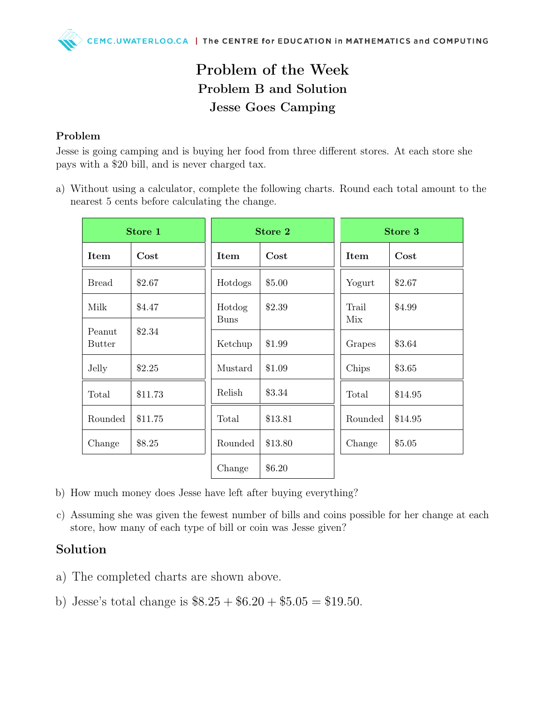## Problem of the Week Problem B and Solution Jesse Goes Camping

## Problem

Jesse is going camping and is buying her food from three different stores. At each store she pays with a \$20 bill, and is never charged tax.

a) Without using a calculator, complete the following charts. Round each total amount to the nearest 5 cents before calculating the change.

| Store 1                 |            | <b>Store 2</b>        |         | Store 3      |         |
|-------------------------|------------|-----------------------|---------|--------------|---------|
| <b>Item</b>             | $\rm Cost$ | <b>Item</b>           | Cost    | Item         | Cost    |
| <b>Bread</b>            | \$2.67     | Hotdogs               | \$5.00  | Yogurt       | \$2.67  |
| Milk                    | \$4.47     | Hotdog<br><b>Buns</b> | \$2.39  | Trail<br>Mix | \$4.99  |
| Peanut<br><b>Butter</b> | \$2.34     | Ketchup               | \$1.99  | Grapes       | \$3.64  |
| Jelly                   | \$2.25     | Mustard               | \$1.09  | Chips        | \$3.65  |
| Total                   | \$11.73    | Relish                | \$3.34  | Total        | \$14.95 |
| Rounded                 | \$11.75    | Total                 | \$13.81 | Rounded      | \$14.95 |
| Change                  | \$8.25     | Rounded               | \$13.80 | Change       | \$5.05  |
|                         |            | Change                | \$6.20  |              |         |

- b) How much money does Jesse have left after buying everything?
- c) Assuming she was given the fewest number of bills and coins possible for her change at each store, how many of each type of bill or coin was Jesse given?

## Solution

- a) The completed charts are shown above.
- b) Jesse's total change is  $\$8.25 + \$6.20 + \$5.05 = \$19.50$ .